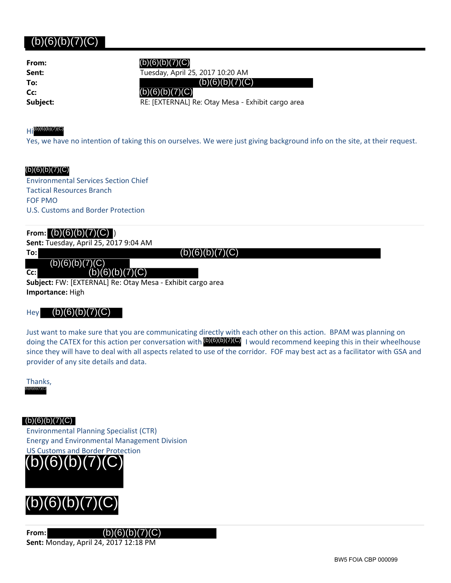### (b)(6)(b)(7)(C)

| From:    |
|----------|
| Sent:    |
| To:      |
| Cc:      |
| Subject: |

**Sent:** Tuesday, April 25, 2017 10:20 AM

**Subject:** RE: [EXTERNAL] Re: Otay Mesa - Exhibit cargo area

### $H_1^{(b)(6)(b)(7)(C)}$

Yes, we have no intention of taking this on ourselves. We were just giving background info on the site, at their request.

### (b)(6)(b)(7)(C)

Environmental Services Section Chief Tactical Resources Branch FOF PMO U.S. Customs and Border Protection

### From:  $(b)(6)(b)(7)(C)$

### **Sent:** Tuesday, April 25, 2017 9:04 AM

**To:**

**Cc:**  $(b)(6)(b)(7)(C)$ 

**Subject:** FW: [EXTERNAL] Re: Otay Mesa ‐ Exhibit cargo area **Importance:** High

### Hey

Just want to make sure that you are communicating directly with each other on this action. BPAM was planning on doing the CATEX for this action per conversation with **(b)(6)(b)(7)(C)** I would recommend keeping this in their wheelhouse since they will have to deal with all aspects related to use of the corridor. FOF may best act as a facilitator with GSA and provider of any site details and data. (b)(6)(b)(7)(C) (b)(6)(b)(7)(C) (b)(6)(b)(7)(C) (b)(6)(b)(7)(C) (b)(6)(b)(7)(C) (b)(6)(b)(7)(C) (b)(6)(b)(7)(C) (b)(6)(b)(7)(C) (b)(6)(b)(7)(C)

Thanks, (b)(6)(b)(7)(C)

 $(b)(6)(b)(7)(C)$ 

Environmental Planning Specialist (CTR) Energy and Environmental Management Division US Customs and Border Protection





**From:** (b)(6)(b)(7)(C) **Sent:** Monday, April 24, 2017 12:18 PM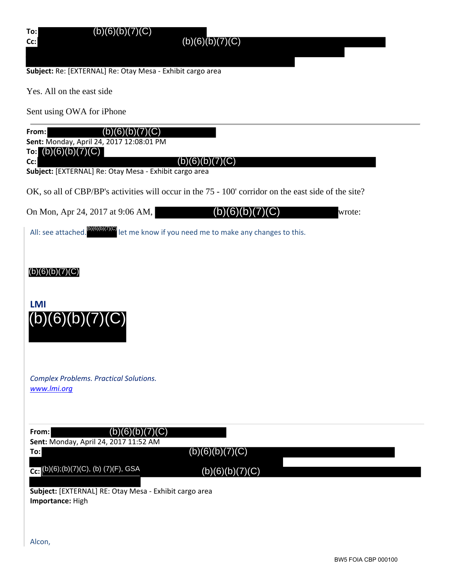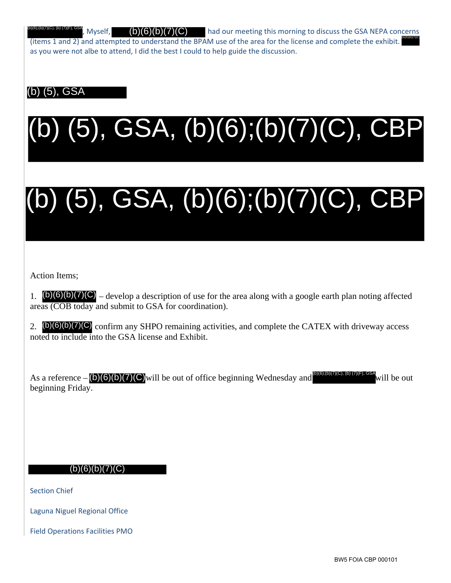Myself,  $\left(\frac{b}{c}\right)\left(\frac{c}{c}\right)$  had our meeting this morning to discuss the GSA NEPA concerns (items 1 and 2) and attempted to understand the BPAM use of the area for the license and complete the exhibit. as you were not albe to attend, I did the best I could to help guide the discussion. (b)(6)(b)(7)(C) (b)(6);(b)(7)(C), (b) (7)(F), GSA

### (b) (5), GSA

# l **EXECUTER RESP.** Myself, (b)(6)(b)(7)(C)<br>ms 1 and 2) and attempted to understand thou were not albe to attend, I did the best I c<br>ou were not albe to attend, I did the best I c<br>f(5), GSA<br>(5), GSA<br>(b)(6)(b)(7)(C) – develop (b) (5), GSA, (b)(6);(b)(7)(C), CBP

# (b) (5), GSA, (b)(6);(b)(7)(C), CBP

Action Items;

1.  $\Phi(6)(b)(7)(C)$  – develop a description of use for the area along with a google earth plan noting affected areas (COB today and submit to GSA for coordination).

2.  $(b)(6)(b)(7)(C)$  confirm any SHPO remaining activities, and complete the CATEX with driveway access noted to include into the GSA license and Exhibit.

As a reference  $-$  (b)(6)(b)(7)(C) will be out of office beginning Wednesday and  $\omega$  and  $\omega$  will be out beginning Friday. (b)(6);(b)(7)(C), (b) (7)(F), GSA

Section Chief

Laguna Niguel Regional Office

Field Operations Facilities PMO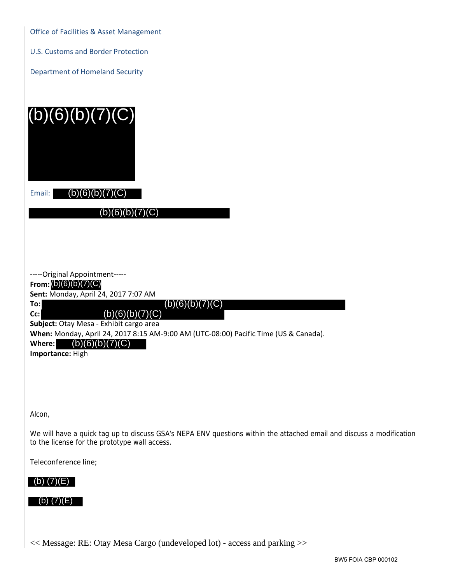Office of Facilities & Asset Management

U.S. Customs and Border Protection

Department of Homeland Security

| (b)(6)(b)(7)(C)                                                                      |
|--------------------------------------------------------------------------------------|
| (b)(6)(b<br>Email:                                                                   |
| (b)(6)(b)(7)(C)                                                                      |
|                                                                                      |
|                                                                                      |
| -----Original Appointment-----                                                       |
| From: $(b)(6)(b)(7)(C)$<br>Sent: Monday, April 24, 2017 7:07 AM                      |
| (b)(6)(b)(7)(C)<br>To:                                                               |
| (b)(6)(b)(7)(C)<br>Cc:<br>Subject: Otay Mesa - Exhibit cargo area                    |
| When: Monday, April 24, 2017 8:15 AM-9:00 AM (UTC-08:00) Pacific Time (US & Canada). |
| (b)(6)(b)(7)<br>Where:                                                               |
| Importance: High                                                                     |
|                                                                                      |

Alcon,

We will have a quick tag up to discuss GSA's NEPA ENV questions within the attached email and discuss a modification to the license for the prototype wall access.

Teleconference line;

### (b) (7)(E)

### (b) (7)(E)

<< Message: RE: Otay Mesa Cargo (undeveloped lot) - access and parking >>